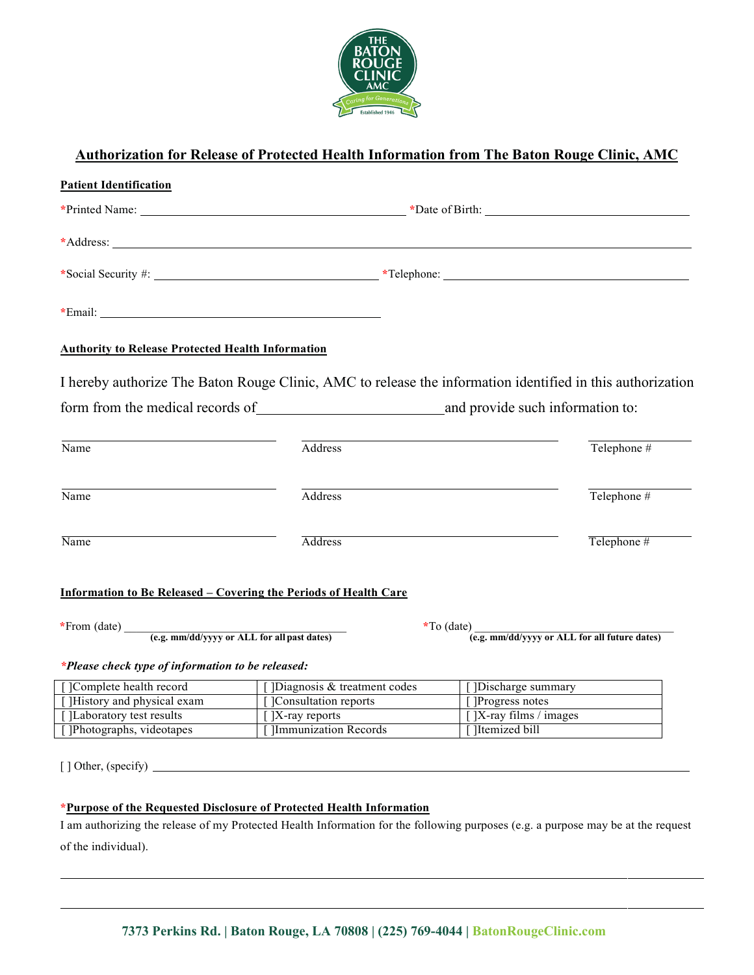

## **Authorization for Release of Protected Health Information from The Baton Rouge Clinic, AMC**

| <b>Patient Identification</b>                                           |                                |                                                                                                                                  |
|-------------------------------------------------------------------------|--------------------------------|----------------------------------------------------------------------------------------------------------------------------------|
|                                                                         |                                |                                                                                                                                  |
|                                                                         |                                |                                                                                                                                  |
|                                                                         |                                |                                                                                                                                  |
|                                                                         |                                |                                                                                                                                  |
| <b>Authority to Release Protected Health Information</b>                |                                |                                                                                                                                  |
|                                                                         |                                | I hereby authorize The Baton Rouge Clinic, AMC to release the information identified in this authorization                       |
|                                                                         |                                | form from the medical records of and provide such information to:                                                                |
| Name                                                                    | Address                        | Telephone #                                                                                                                      |
| Name                                                                    | Address                        | Telephone #                                                                                                                      |
| Name                                                                    | <b>Address</b>                 | Telephone #                                                                                                                      |
| <b>Information to Be Released - Covering the Periods of Health Care</b> |                                |                                                                                                                                  |
|                                                                         |                                | *To (date) $\frac{1}{(e.g. \text{ mm}/dd/yyyy \text{ or ALL for all future dates})}$                                             |
| *Please check type of information to be released:                       |                                |                                                                                                                                  |
| [ ]Complete health record                                               | [] Diagnosis & treatment codes | [] Discharge summary                                                                                                             |
| [ ]History and physical exam                                            | [ ]Consultation reports        | [ ]Progress notes                                                                                                                |
| [ ]Laboratory test results                                              | $\lceil$  X-ray reports        | $\int$ ]X-ray films / images                                                                                                     |
| [Photographs, videotapes]                                               | Immunization Records           | ]Itemized bill                                                                                                                   |
|                                                                         |                                |                                                                                                                                  |
| *Purpose of the Requested Disclosure of Protected Health Information    |                                |                                                                                                                                  |
|                                                                         |                                | I am authorizing the release of my Protected Health Information for the following purposes (e.g. a purpose may be at the request |

of the individual).